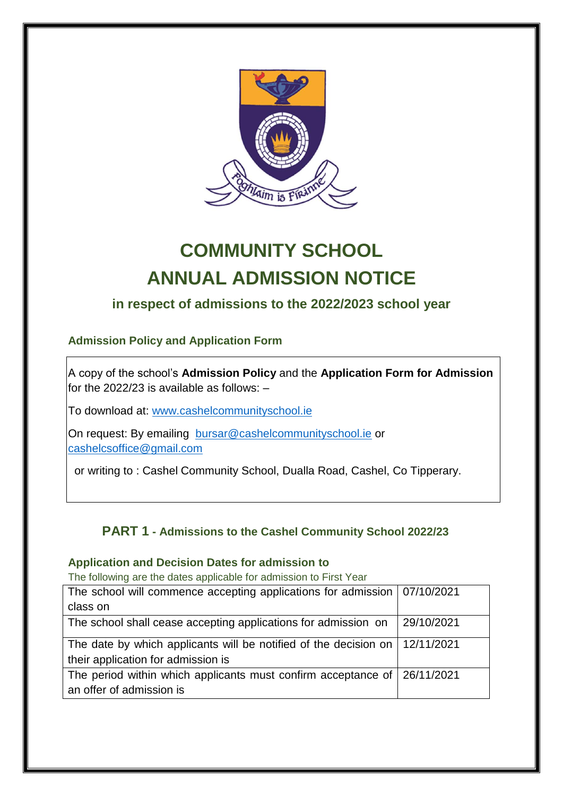

# **COMMUNITY SCHOOL ANNUAL ADMISSION NOTICE**

## **in respect of admissions to the 2022/2023 school year**

### **Admission Policy and Application Form**

A copy of the school's **Admission Policy** and the **Application Form for Admission** for the 2022/23 is available as follows: –

To download at: www.cashelcommunityschool.ie

On request: By emailing [bursar@cashelcommunityschool.ie](mailto:bursar@cashelcommunityschool.ie) or [cashelcsoffice@gmail.com](mailto:cashelcsoffice@gmail.com)

or writing to : Cashel Community School, Dualla Road, Cashel, Co Tipperary.

### **PART 1 - Admissions to the Cashel Community School 2022/23**

#### **Application and Decision Dates for admission to**

The following are the dates applicable for admission to First Year

| The school will commence accepting applications for admission   07/10/2021    |            |
|-------------------------------------------------------------------------------|------------|
| class on                                                                      |            |
| The school shall cease accepting applications for admission on                | 29/10/2021 |
| The date by which applicants will be notified of the decision on   12/11/2021 |            |
| their application for admission is                                            |            |
| The period within which applicants must confirm acceptance of 26/11/2021      |            |
| an offer of admission is                                                      |            |